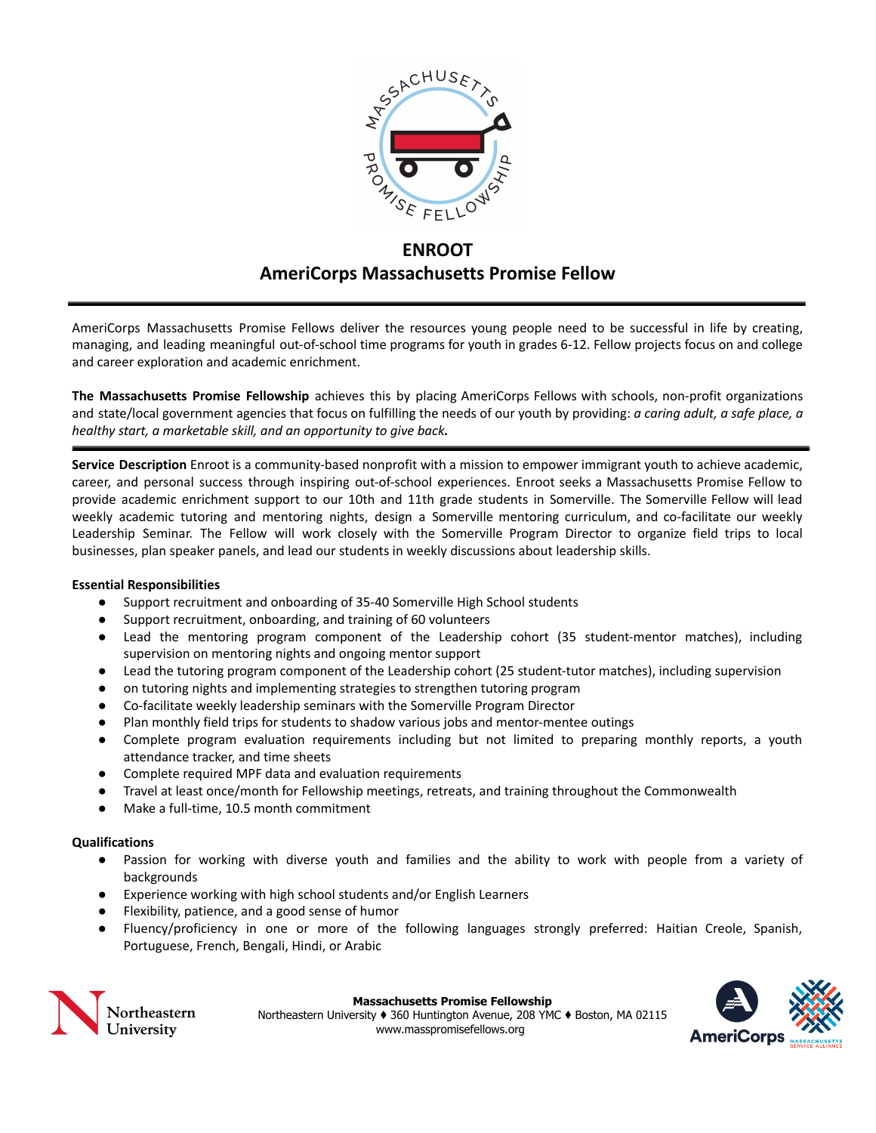

# **ENROOT AmeriCorps Massachusetts Promise Fellow**

AmeriCorps Massachusetts Promise Fellows deliver the resources young people need to be successful in life by creating, managing, and leading meaningful out-of-school time programs for youth in grades 6-12. Fellow projects focus on and college and career exploration and academic enrichment.

**The Massachusetts Promise Fellowship** achieves this by placing AmeriCorps Fellows with schools, non-profit organizations and state/local government agencies that focus on fulfilling the needs of our youth by providing: *a caring adult, a safe place, a healthy start, a marketable skill, and an opportunity to give back.*

**Service Description** Enroot is a community-based nonprofit with a mission to empower immigrant youth to achieve academic, career, and personal success through inspiring out-of-school experiences. Enroot seeks a Massachusetts Promise Fellow to provide academic enrichment support to our 10th and 11th grade students in Somerville. The Somerville Fellow will lead weekly academic tutoring and mentoring nights, design a Somerville mentoring curriculum, and co-facilitate our weekly Leadership Seminar. The Fellow will work closely with the Somerville Program Director to organize field trips to local businesses, plan speaker panels, and lead our students in weekly discussions about leadership skills.

# **Essential Responsibilities**

- Support recruitment and onboarding of 35-40 Somerville High School students
- Support recruitment, onboarding, and training of 60 volunteers
- Lead the mentoring program component of the Leadership cohort (35 student-mentor matches), including supervision on mentoring nights and ongoing mentor support
- Lead the tutoring program component of the Leadership cohort (25 student-tutor matches), including supervision
- on tutoring nights and implementing strategies to strengthen tutoring program
- Co-facilitate weekly leadership seminars with the Somerville Program Director
- Plan monthly field trips for students to shadow various jobs and mentor-mentee outings
- Complete program evaluation requirements including but not limited to preparing monthly reports, a youth attendance tracker, and time sheets
- Complete required MPF data and evaluation requirements
- Travel at least once/month for Fellowship meetings, retreats, and training throughout the Commonwealth
- Make a full-time, 10.5 month commitment

# **Qualifications**

- Passion for working with diverse youth and families and the ability to work with people from a variety of backgrounds
- Experience working with high school students and/or English Learners
- Flexibility, patience, and a good sense of humor
- Fluency/proficiency in one or more of the following languages strongly preferred: Haitian Creole, Spanish, Portuguese, French, Bengali, Hindi, or Arabic



**Massachusetts Promise Fellowship** Northeastern University ♦ 360 Huntington Avenue, 208 YMC ♦ Boston, MA 02115

www.masspromisefellows.org

AmeriCorps